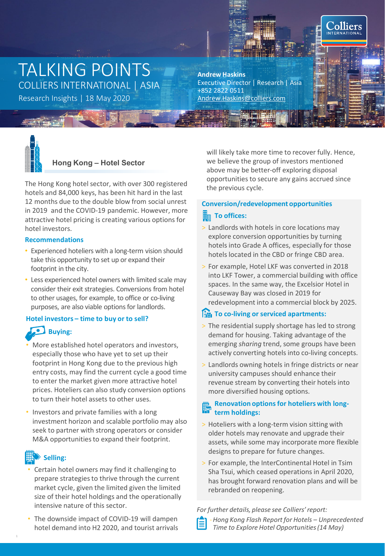# TALKING POINTS COLLIERS INTERNATIONAL | ASIA

Research Insights | 18 May 2020 [Andrew.Haskins@colliers.com](mailto:Andrew.Haskins@colliers.com)

# **Andrew Haskins** Executive Director | Research | Asia +852 2822 0511



# **Hong Kong – Hotel Sector**

The Hong Kong hotel sector, with over 300 registered hotels and 84,000 keys, has been hit hard in the last 12 months due to the double blow from social unrest in 2019 and the COVID-19 pandemic. However, more attractive hotel pricing is creating various options for hotel investors.

## **Recommendations**

- Experienced hoteliers with a long-term vision should take this opportunity to set up or expand their footprint in the city.
- Less experienced hotel owners with limited scale may consider their exit strategies. Conversions from hotel to other usages, for example, to office or co-living purposes, are also viable options for landlords.

# **Hotel investors – time to buy or to sell?**

# **Buying:**

- More established hotel operators and investors, especially those who have yet to set up their footprint in Hong Kong due to the previous high entry costs, may find the current cycle a good time to enter the market given more attractive hotel prices. Hoteliers can also study conversion options to turn their hotel assets to other uses.
- Investors and private families with a long investment horizon and scalable portfolio may also seek to partner with strong operators or consider M&A opportunities to expand their footprint.

# **Selling:**

- Certain hotel owners may find it challenging to prepare strategies to thrive through the current market cycle, given the limited given the limited size of their hotel holdings and the operationally intensive nature of this sector.
- The downside impact of COVID-19 will dampen hotel demand into H2 2020, and tourist arrivals

will likely take more time to recover fully. Hence, we believe the group of investors mentioned above may be better-off exploring disposal opportunities to secure any gains accrued since the previous cycle.

**Colliers** 

# **Conversion/redevelopment opportunities**

# **To offices:**

- > Landlords with hotels in core locations may explore conversion opportunities by turning hotels into Grade A offices, especially for those hotels located in the CBD or fringe CBD area.
- > For example, Hotel LKF was converted in 2018 into LKF Tower, a commercial building with office spaces. In the same way, the Excelsior Hotel in Causeway Bay was closed in 2019 for redevelopment into a commercial block by 2025.

# **They** To co-living or serviced apartments:

- > The residential supply shortage has led to strong demand for housing. Taking advantage of the emerging *sharing* trend, some groups have been actively converting hotels into co-living concepts.
- > Landlords owning hotels in fringe districts or near university campuses should enhance their revenue stream by converting their hotels into more diversified housing options.

# **Renovation options for hoteliers with longterm holdings:**

- > Hoteliers with a long-term vision sitting with older hotels may renovate and upgrade their assets, while some may incorporate more flexible designs to prepare for future changes.
- > For example, the InterContinental Hotel in Tsim Sha Tsui, which ceased operations in April 2020, has brought forward renovation plans and will be rebranded on reopening.

## *For further details, please see Colliers' report:*

- -*Hong Kong Flash Report for Hotels – Unprecedented* 
	- *Time to Explore Hotel Opportunities (14 May)*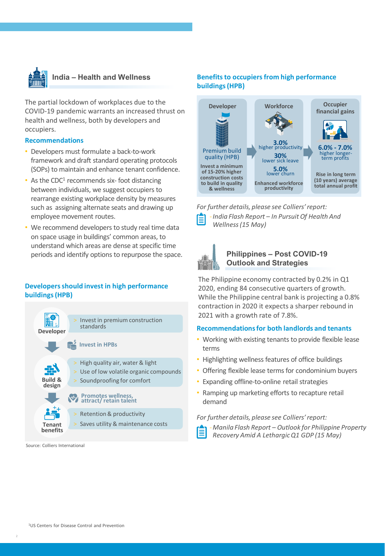

The partial lockdown of workplaces due to the COVID-19 pandemic warrants an increased thrust on health and wellness, both by developers and occupiers.

### **Recommendations**

- Developers must formulate a back-to-work framework and draft standard operating protocols (SOPs) to maintain and enhance tenant confidence.
- As the CDC $1$  recommends six-foot distancing between individuals, we suggest occupiers to rearrange existing workplace density by measures such as assigning alternate seats and drawing up employee movement routes.
- We recommend developers to study real time data on space usage in buildings' common areas, to understand which areas are dense at specific time periods and identify options to repurpose the space.

# **Developers should invest in high performance buildings (HPB)**



#### Source: Colliers International

# **Benefits to occupiers from high performance buildings (HPB)**



*For further details, please see Colliers' report:* -*India Flash Report – In Pursuit Of Health And Wellness (15 May)*



# **Philippines – Post COVID-19 Outlook and Strategies**

The Philippine economy contracted by 0.2% in Q1 2020, ending 84 consecutive quarters of growth. While the Philippine central bank is projecting a 0.8% contraction in 2020 it expects a sharper rebound in 2021 with a growth rate of 7.8%.

### **Recommendations for both landlords and tenants**

- Working with existing tenants to provide flexible lease terms
- Highlighting wellness features of office buildings
- Offering flexible lease terms for condominium buyers
- Expanding offline-to-online retail strategies
- Ramping up marketing efforts to recapture retail demand

### *For further details, please see Colliers' report:*

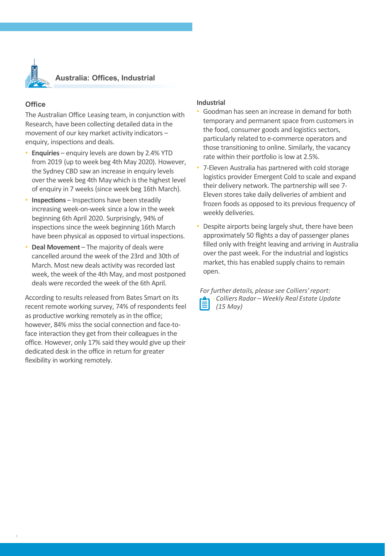

# **Australia: Offices, Industrial**

# **Office**

The Australian Office Leasing team, in conjunction with Research, have been collecting detailed data in the movement of our key market activity indicators – enquiry, inspections and deals.

- **Enquiries** enquiry levels are down by 2.4% YTD from 2019 (up to week beg 4th May 2020). However, the Sydney CBD saw an increase in enquiry levels over the week beg 4th May which is the highest level of enquiry in 7 weeks (since week beg 16th March).
- **Inspections** Inspections have been steadily increasing week-on-week since a low in the week beginning 6th April 2020. Surprisingly, 94% of inspections since the week beginning 16th March have been physical as opposed to virtual inspections.
- **Deal Movement**  The majority of deals were cancelled around the week of the 23rd and 30th of March. Most new deals activity was recorded last week, the week of the 4th May, and most postponed deals were recorded the week of the 6th April.

According to results released from Bates Smart on its recent remote working survey, 74% of respondents feel as productive working remotely as in the office; however, 84% miss the social connection and face-toface interaction they get from their colleagues in the office. However, only 17% said they would give up their dedicated desk in the office in return for greater flexibility in working remotely.

## **Industrial**

- Goodman has seen an increase in demand for both temporary and permanent space from customers in the food, consumer goods and logistics sectors, particularly related to e-commerce operators and those transitioning to online. Similarly, the vacancy rate within their portfolio is low at 2.5%.
- 7-Eleven Australia has partnered with cold storage logistics provider Emergent Cold to scale and expand their delivery network. The partnership will see 7- Eleven stores take daily deliveries of ambient and frozen foods as opposed to its previous frequency of weekly deliveries.
- Despite airports being largely shut, there have been approximately 50 flights a day of passenger planes filled only with freight leaving and arriving in Australia over the past week. For the industrial and logistics market, this has enabled supply chains to remain open.

*For further details, please see Colliers' report:* -*Colliers Radar – Weekly Real Estate Update (15 May)*